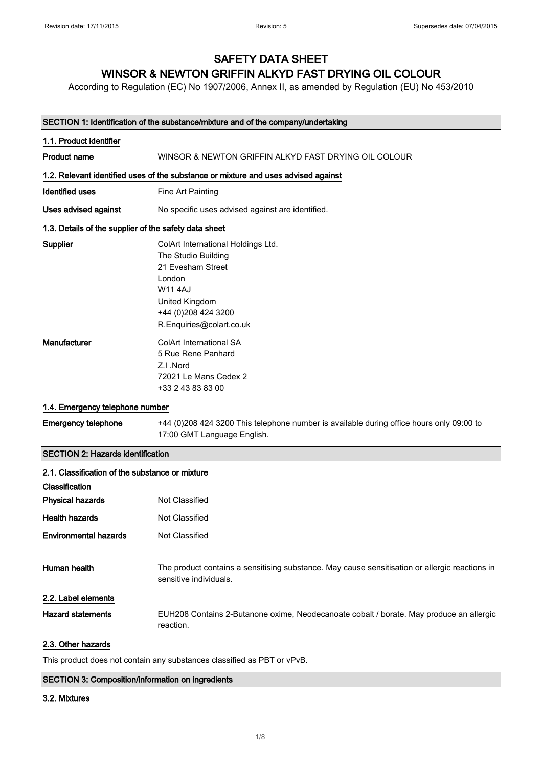## SAFETY DATA SHEET WINSOR & NEWTON GRIFFIN ALKYD FAST DRYING OIL COLOUR

According to Regulation (EC) No 1907/2006, Annex II, as amended by Regulation (EU) No 453/2010

#### SECTION 1: Identification of the substance/mixture and of the company/undertaking

| 1.1. Product identifier                               |                                                                                                                                                                                 |
|-------------------------------------------------------|---------------------------------------------------------------------------------------------------------------------------------------------------------------------------------|
| <b>Product name</b>                                   | WINSOR & NEWTON GRIFFIN ALKYD FAST DRYING OIL COLOUR                                                                                                                            |
|                                                       | 1.2. Relevant identified uses of the substance or mixture and uses advised against                                                                                              |
| <b>Identified uses</b>                                | Fine Art Painting                                                                                                                                                               |
| Uses advised against                                  | No specific uses advised against are identified.                                                                                                                                |
| 1.3. Details of the supplier of the safety data sheet |                                                                                                                                                                                 |
| Supplier                                              | ColArt International Holdings Ltd.<br>The Studio Building<br>21 Evesham Street<br>London<br><b>W114AJ</b><br>United Kingdom<br>+44 (0) 208 424 3200<br>R.Enquiries@colart.co.uk |
| Manufacturer                                          | <b>ColArt International SA</b><br>5 Rue Rene Panhard<br>Z.I.Nord<br>72021 Le Mans Cedex 2<br>+33 2 43 83 83 00                                                                  |
| 1.4. Emergency telephone number                       |                                                                                                                                                                                 |
| <b>Emergency telephone</b>                            | +44 (0)208 424 3200 This telephone number is available during office hours only 09:00 to<br>17:00 GMT Language English.                                                         |
| <b>SECTION 2: Hazards identification</b>              |                                                                                                                                                                                 |
| 2.1. Classification of the substance or mixture       |                                                                                                                                                                                 |
| Classification                                        |                                                                                                                                                                                 |
| <b>Physical hazards</b>                               | Not Classified                                                                                                                                                                  |
| <b>Health hazards</b>                                 | Not Classified                                                                                                                                                                  |
| <b>Environmental hazards</b>                          | <b>Not Classified</b>                                                                                                                                                           |
| Human health                                          | The product contains a sensitising substance. May cause sensitisation or allergic reactions in<br>sensitive individuals.                                                        |

2.2. Label elements

Hazard statements EUH208 Contains 2-Butanone oxime, Neodecanoate cobalt / borate. May produce an allergic reaction.

### 2.3. Other hazards

This product does not contain any substances classified as PBT or vPvB.

#### SECTION 3: Composition/information on ingredients

#### 3.2. Mixtures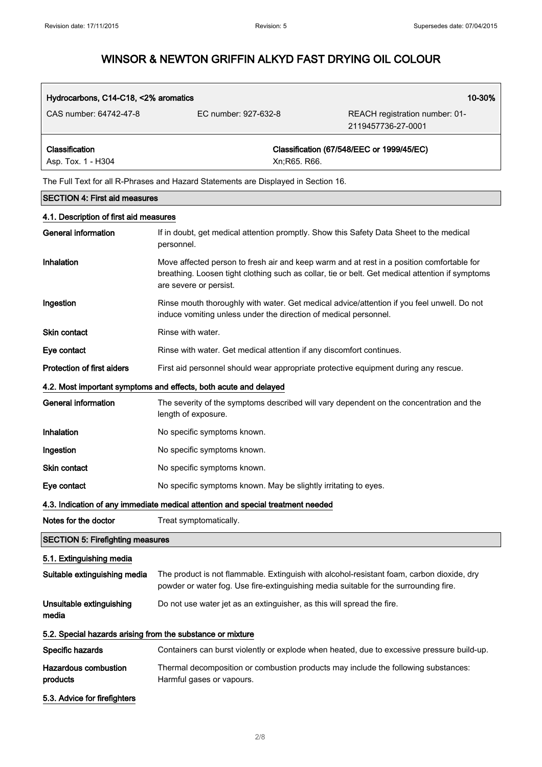| Hydrocarbons, C14-C18, <2% aromatics                                              |                      | 10-30%                                               |
|-----------------------------------------------------------------------------------|----------------------|------------------------------------------------------|
| CAS number: 64742-47-8                                                            | EC number: 927-632-8 | REACH registration number: 01-<br>2119457736-27-0001 |
| Classification                                                                    |                      | Classification (67/548/EEC or 1999/45/EC)            |
| Asp. Tox. 1 - H304                                                                | Xn:R65. R66.         |                                                      |
| The Full Text for all R-Phrases and Hazard Statements are Displayed in Section 16 |                      |                                                      |

|                                                            | The Full Text for all IN-Finases and Fiazard Statements are Displayed in Section To.                                                                                                                                   |
|------------------------------------------------------------|------------------------------------------------------------------------------------------------------------------------------------------------------------------------------------------------------------------------|
| <b>SECTION 4: First aid measures</b>                       |                                                                                                                                                                                                                        |
| 4.1. Description of first aid measures                     |                                                                                                                                                                                                                        |
| <b>General information</b>                                 | If in doubt, get medical attention promptly. Show this Safety Data Sheet to the medical<br>personnel.                                                                                                                  |
| Inhalation                                                 | Move affected person to fresh air and keep warm and at rest in a position comfortable for<br>breathing. Loosen tight clothing such as collar, tie or belt. Get medical attention if symptoms<br>are severe or persist. |
| Ingestion                                                  | Rinse mouth thoroughly with water. Get medical advice/attention if you feel unwell. Do not<br>induce vomiting unless under the direction of medical personnel.                                                         |
| Skin contact                                               | Rinse with water.                                                                                                                                                                                                      |
| Eye contact                                                | Rinse with water. Get medical attention if any discomfort continues.                                                                                                                                                   |
| <b>Protection of first aiders</b>                          | First aid personnel should wear appropriate protective equipment during any rescue.                                                                                                                                    |
|                                                            | 4.2. Most important symptoms and effects, both acute and delayed                                                                                                                                                       |
| <b>General information</b>                                 | The severity of the symptoms described will vary dependent on the concentration and the<br>length of exposure.                                                                                                         |
| Inhalation                                                 | No specific symptoms known.                                                                                                                                                                                            |
| Ingestion                                                  | No specific symptoms known.                                                                                                                                                                                            |
| <b>Skin contact</b>                                        | No specific symptoms known.                                                                                                                                                                                            |
| Eye contact                                                | No specific symptoms known. May be slightly irritating to eyes.                                                                                                                                                        |
|                                                            | 4.3. Indication of any immediate medical attention and special treatment needed                                                                                                                                        |
| Notes for the doctor                                       | Treat symptomatically.                                                                                                                                                                                                 |
| <b>SECTION 5: Firefighting measures</b>                    |                                                                                                                                                                                                                        |
| 5.1. Extinguishing media                                   |                                                                                                                                                                                                                        |
| Suitable extinguishing media                               | The product is not flammable. Extinguish with alcohol-resistant foam, carbon dioxide, dry<br>powder or water fog. Use fire-extinguishing media suitable for the surrounding fire.                                      |
| Unsuitable extinguishing<br>media                          | Do not use water jet as an extinguisher, as this will spread the fire.                                                                                                                                                 |
| 5.2. Special hazards arising from the substance or mixture |                                                                                                                                                                                                                        |
| Specific hazards                                           | Containers can burst violently or explode when heated, due to excessive pressure build-up.                                                                                                                             |
| <b>Hazardous combustion</b><br>products                    | Thermal decomposition or combustion products may include the following substances:<br>Harmful gases or vapours.                                                                                                        |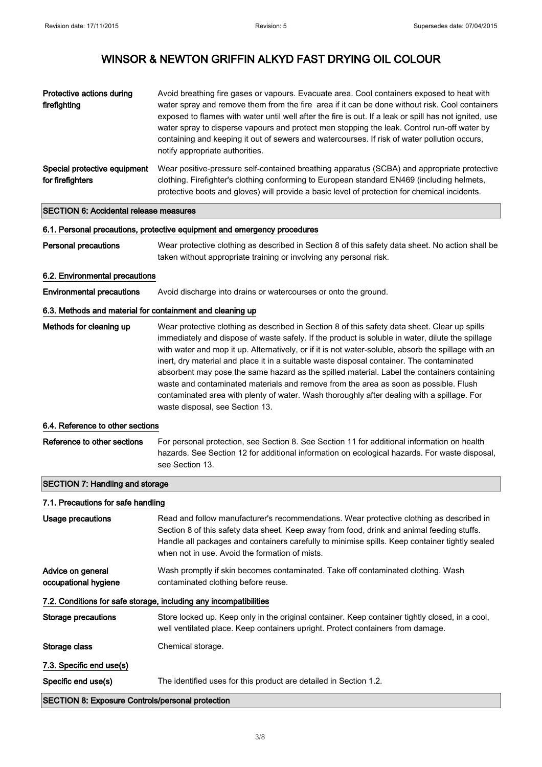| Protective actions during<br>firefighting        | Avoid breathing fire gases or vapours. Evacuate area. Cool containers exposed to heat with<br>water spray and remove them from the fire area if it can be done without risk. Cool containers<br>exposed to flames with water until well after the fire is out. If a leak or spill has not ignited, use<br>water spray to disperse vapours and protect men stopping the leak. Control run-off water by<br>containing and keeping it out of sewers and watercourses. If risk of water pollution occurs,<br>notify appropriate authorities. |
|--------------------------------------------------|------------------------------------------------------------------------------------------------------------------------------------------------------------------------------------------------------------------------------------------------------------------------------------------------------------------------------------------------------------------------------------------------------------------------------------------------------------------------------------------------------------------------------------------|
| Special protective equipment<br>for firefighters | Wear positive-pressure self-contained breathing apparatus (SCBA) and appropriate protective<br>clothing. Firefighter's clothing conforming to European standard EN469 (including helmets,<br>protective boots and gloves) will provide a basic level of protection for chemical incidents.                                                                                                                                                                                                                                               |
| <b>SECTION 6: Accidental release measures</b>    |                                                                                                                                                                                                                                                                                                                                                                                                                                                                                                                                          |
|                                                  | 6.1. Personal precautions, protective equipment and emergency procedures                                                                                                                                                                                                                                                                                                                                                                                                                                                                 |
| <b>Personal precautions</b>                      | Wear protective clothing as described in Section 8 of this safety data sheet. No action shall be                                                                                                                                                                                                                                                                                                                                                                                                                                         |

taken without appropriate training or involving any personal risk.

#### 6.2. Environmental precautions

Environmental precautions Avoid discharge into drains or watercourses or onto the ground.

### 6.3. Methods and material for containment and cleaning up

| Methods for cleaning up | Wear protective clothing as described in Section 8 of this safety data sheet. Clear up spills       |
|-------------------------|-----------------------------------------------------------------------------------------------------|
|                         | immediately and dispose of waste safely. If the product is soluble in water, dilute the spillage    |
|                         | with water and mop it up. Alternatively, or if it is not water-soluble, absorb the spillage with an |
|                         | inert, dry material and place it in a suitable waste disposal container. The contaminated           |
|                         | absorbent may pose the same hazard as the spilled material. Label the containers containing         |
|                         | waste and contaminated materials and remove from the area as soon as possible. Flush                |
|                         | contaminated area with plenty of water. Wash thoroughly after dealing with a spillage. For          |
|                         | waste disposal, see Section 13.                                                                     |

### 6.4. Reference to other sections

Reference to other sections For personal protection, see Section 8. See Section 11 for additional information on health hazards. See Section 12 for additional information on ecological hazards. For waste disposal, see Section 13.

## SECTION 7: Handling and storage

## 7.1. Precautions for safe handling

| Usage precautions                                                 | Read and follow manufacturer's recommendations. Wear protective clothing as described in<br>Section 8 of this safety data sheet. Keep away from food, drink and animal feeding stuffs.<br>Handle all packages and containers carefully to minimise spills. Keep container tightly sealed<br>when not in use. Avoid the formation of mists. |  |
|-------------------------------------------------------------------|--------------------------------------------------------------------------------------------------------------------------------------------------------------------------------------------------------------------------------------------------------------------------------------------------------------------------------------------|--|
| Advice on general<br>occupational hygiene                         | Wash promptly if skin becomes contaminated. Take off contaminated clothing. Wash<br>contaminated clothing before reuse.                                                                                                                                                                                                                    |  |
| 7.2. Conditions for safe storage, including any incompatibilities |                                                                                                                                                                                                                                                                                                                                            |  |
| Storage precautions                                               | Store locked up. Keep only in the original container. Keep container tightly closed, in a cool,<br>well ventilated place. Keep containers upright. Protect containers from damage.                                                                                                                                                         |  |
| Storage class                                                     | Chemical storage.                                                                                                                                                                                                                                                                                                                          |  |
| 7.3. Specific end use(s)                                          |                                                                                                                                                                                                                                                                                                                                            |  |
| Specific end use(s)                                               | The identified uses for this product are detailed in Section 1.2.                                                                                                                                                                                                                                                                          |  |
|                                                                   | <b>SECTION 8: Exposure Controls/personal protection</b>                                                                                                                                                                                                                                                                                    |  |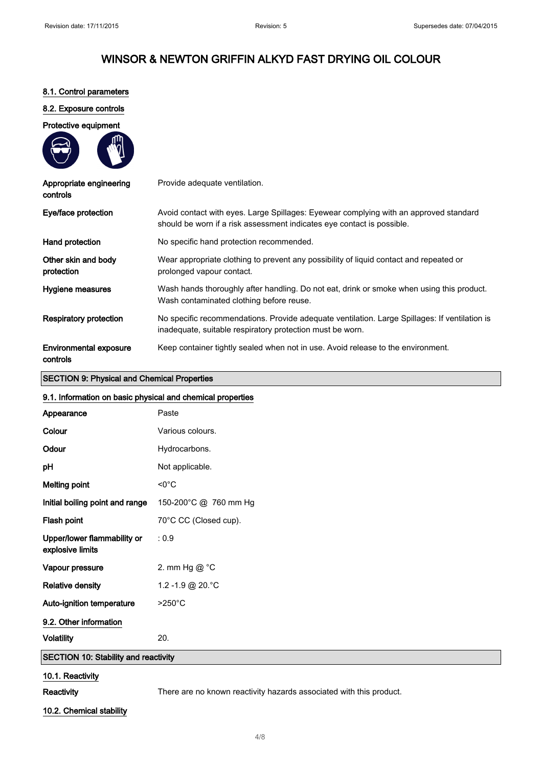### 8.1. Control parameters

### 8.2. Exposure controls

#### Protective equipment



| Appropriate engineering<br>controls       | Provide adequate ventilation.                                                                                                                                   |
|-------------------------------------------|-----------------------------------------------------------------------------------------------------------------------------------------------------------------|
| Eye/face protection                       | Avoid contact with eyes. Large Spillages: Eyewear complying with an approved standard<br>should be worn if a risk assessment indicates eye contact is possible. |
| Hand protection                           | No specific hand protection recommended.                                                                                                                        |
| Other skin and body<br>protection         | Wear appropriate clothing to prevent any possibility of liquid contact and repeated or<br>prolonged vapour contact.                                             |
| Hygiene measures                          | Wash hands thoroughly after handling. Do not eat, drink or smoke when using this product.<br>Wash contaminated clothing before reuse.                           |
| <b>Respiratory protection</b>             | No specific recommendations. Provide adequate ventilation. Large Spillages: If ventilation is<br>inadequate, suitable respiratory protection must be worn.      |
| <b>Environmental exposure</b><br>controls | Keep container tightly sealed when not in use. Avoid release to the environment.                                                                                |

### SECTION 9: Physical and Chemical Properties

### 9.1. Information on basic physical and chemical properties

| Appearance                                      | Paste                                                                                                   |
|-------------------------------------------------|---------------------------------------------------------------------------------------------------------|
| Colour                                          | Various colours.                                                                                        |
| Odour                                           | Hydrocarbons.                                                                                           |
| рH                                              | Not applicable.                                                                                         |
| <b>Melting point</b>                            | $< 0^{\circ}$ C                                                                                         |
| Initial boiling point and range                 | 150-200°C @ 760 mm Hg                                                                                   |
| Flash point                                     | 70°C CC (Closed cup).                                                                                   |
| Upper/lower flammability or<br>explosive limits | : 0.9                                                                                                   |
| Vapour pressure                                 | 2. mm Hg @ °C                                                                                           |
| <b>Relative density</b>                         | 1.2 - 1.9 @ 20. °C                                                                                      |
| Auto-ignition temperature                       | $>250^{\circ}$ C                                                                                        |
| 9.2. Other information                          |                                                                                                         |
| <b>Volatility</b>                               | 20.                                                                                                     |
| <b>SECTION 10: Stability and reactivity</b>     |                                                                                                         |
| 10.1. Reactivity                                |                                                                                                         |
| $P = -11.34$                                    | The same state and the company of the first production of the state of collisions about the same state. |

## 10.2. Chemical stability

4/ 8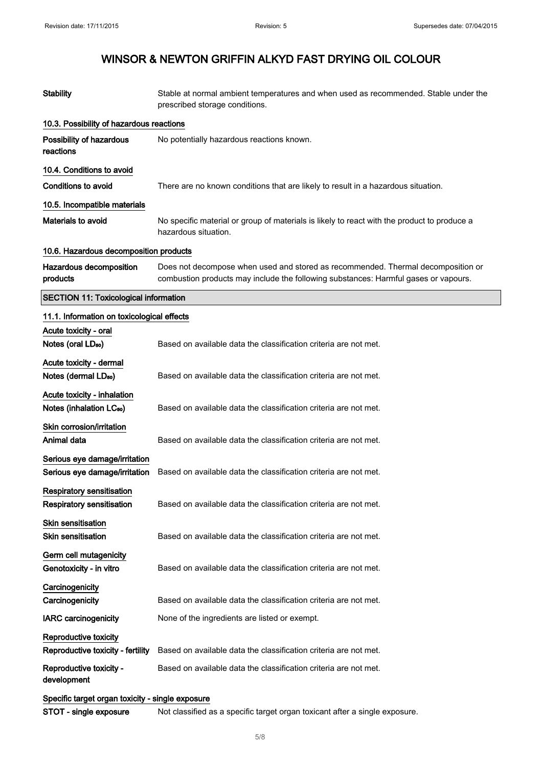| <b>Stability</b>                                 | Stable at normal ambient temperatures and when used as recommended. Stable under the<br>prescribed storage conditions.                                                  |
|--------------------------------------------------|-------------------------------------------------------------------------------------------------------------------------------------------------------------------------|
| 10.3. Possibility of hazardous reactions         |                                                                                                                                                                         |
| Possibility of hazardous<br>reactions            | No potentially hazardous reactions known.                                                                                                                               |
| 10.4. Conditions to avoid                        |                                                                                                                                                                         |
| <b>Conditions to avoid</b>                       | There are no known conditions that are likely to result in a hazardous situation.                                                                                       |
| 10.5. Incompatible materials                     |                                                                                                                                                                         |
| Materials to avoid                               | No specific material or group of materials is likely to react with the product to produce a<br>hazardous situation.                                                     |
| 10.6. Hazardous decomposition products           |                                                                                                                                                                         |
| Hazardous decomposition<br>products              | Does not decompose when used and stored as recommended. Thermal decomposition or<br>combustion products may include the following substances: Harmful gases or vapours. |
| <b>SECTION 11: Toxicological information</b>     |                                                                                                                                                                         |
| 11.1. Information on toxicological effects       |                                                                                                                                                                         |
| Acute toxicity - oral                            |                                                                                                                                                                         |
| Notes (oral LD <sub>50</sub> )                   | Based on available data the classification criteria are not met.                                                                                                        |
| Acute toxicity - dermal                          |                                                                                                                                                                         |
| Notes (dermal LDso)                              | Based on available data the classification criteria are not met.                                                                                                        |
| Acute toxicity - inhalation                      |                                                                                                                                                                         |
| Notes (inhalation LC <sub>50</sub> )             | Based on available data the classification criteria are not met.                                                                                                        |
| Skin corrosion/irritation                        |                                                                                                                                                                         |
| Animal data                                      | Based on available data the classification criteria are not met.                                                                                                        |
| Serious eye damage/irritation                    |                                                                                                                                                                         |
| Serious eye damage/irritation                    | Based on available data the classification criteria are not met.                                                                                                        |
| <b>Respiratory sensitisation</b>                 |                                                                                                                                                                         |
| Respiratory sensitisation                        | Based on available data the classification criteria are not met.                                                                                                        |
| Skin sensitisation                               |                                                                                                                                                                         |
| <b>Skin sensitisation</b>                        | Based on available data the classification criteria are not met.                                                                                                        |
| Germ cell mutagenicity                           |                                                                                                                                                                         |
| Genotoxicity - in vitro                          | Based on available data the classification criteria are not met.                                                                                                        |
| Carcinogenicity                                  |                                                                                                                                                                         |
| Carcinogenicity                                  | Based on available data the classification criteria are not met.                                                                                                        |
| <b>IARC carcinogenicity</b>                      | None of the ingredients are listed or exempt.                                                                                                                           |
| Reproductive toxicity                            |                                                                                                                                                                         |
| Reproductive toxicity - fertility                | Based on available data the classification criteria are not met.                                                                                                        |
| Reproductive toxicity -<br>development           | Based on available data the classification criteria are not met.                                                                                                        |
| Specific target organ toxicity - single exposure |                                                                                                                                                                         |
| STOT - single exposure                           | Not classified as a specific target organ toxicant after a single exposure.                                                                                             |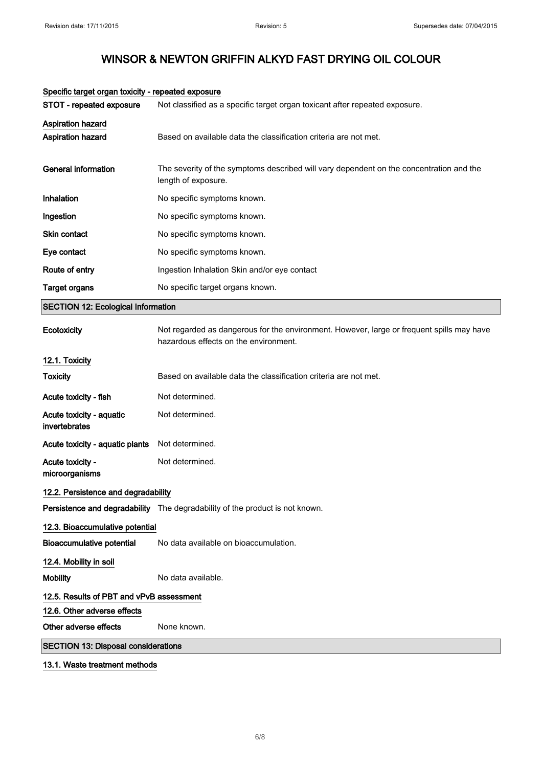| Specific target organ toxicity - repeated exposure |                                                                                                                                    |
|----------------------------------------------------|------------------------------------------------------------------------------------------------------------------------------------|
| STOT - repeated exposure                           | Not classified as a specific target organ toxicant after repeated exposure.                                                        |
| <b>Aspiration hazard</b><br>Aspiration hazard      | Based on available data the classification criteria are not met.                                                                   |
| <b>General information</b>                         | The severity of the symptoms described will vary dependent on the concentration and the<br>length of exposure.                     |
| Inhalation                                         | No specific symptoms known.                                                                                                        |
| Ingestion                                          | No specific symptoms known.                                                                                                        |
| Skin contact                                       | No specific symptoms known.                                                                                                        |
| Eye contact                                        | No specific symptoms known.                                                                                                        |
| Route of entry                                     | Ingestion Inhalation Skin and/or eye contact                                                                                       |
| <b>Target organs</b>                               | No specific target organs known.                                                                                                   |
| <b>SECTION 12: Ecological Information</b>          |                                                                                                                                    |
| Ecotoxicity                                        | Not regarded as dangerous for the environment. However, large or frequent spills may have<br>hazardous effects on the environment. |
| 12.1. Toxicity                                     |                                                                                                                                    |
| <b>Toxicity</b>                                    | Based on available data the classification criteria are not met.                                                                   |
| Acute toxicity - fish                              | Not determined.                                                                                                                    |
| Acute toxicity - aquatic<br>invertebrates          | Not determined.                                                                                                                    |
| Acute toxicity - aquatic plants                    | Not determined.                                                                                                                    |
| Acute toxicity -<br>microorganisms                 | Not determined.                                                                                                                    |
| 12.2. Persistence and degradability                |                                                                                                                                    |
|                                                    | Persistence and degradability The degradability of the product is not known.                                                       |
| 12.3. Bioaccumulative potential                    |                                                                                                                                    |
| <b>Bioaccumulative potential</b>                   | No data available on bioaccumulation.                                                                                              |
| 12.4. Mobility in soil                             |                                                                                                                                    |
| <b>Mobility</b>                                    | No data available.                                                                                                                 |
| 12.5. Results of PBT and vPvB assessment           |                                                                                                                                    |
| 12.6. Other adverse effects                        |                                                                                                                                    |
| Other adverse effects                              | None known.                                                                                                                        |
| <b>SECTION 13: Disposal considerations</b>         |                                                                                                                                    |
| 13.1. Waste treatment methods                      |                                                                                                                                    |

### Specific target organ toxicity - repeated exposure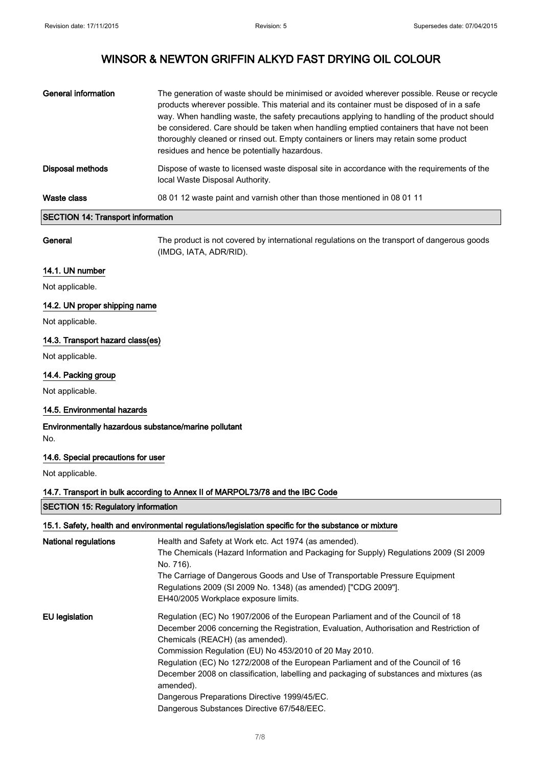| General information                      | The generation of waste should be minimised or avoided wherever possible. Reuse or recycle<br>products wherever possible. This material and its container must be disposed of in a safe<br>way. When handling waste, the safety precautions applying to handling of the product should<br>be considered. Care should be taken when handling emptied containers that have not been<br>thoroughly cleaned or rinsed out. Empty containers or liners may retain some product<br>residues and hence be potentially hazardous. |
|------------------------------------------|---------------------------------------------------------------------------------------------------------------------------------------------------------------------------------------------------------------------------------------------------------------------------------------------------------------------------------------------------------------------------------------------------------------------------------------------------------------------------------------------------------------------------|
| Disposal methods                         | Dispose of waste to licensed waste disposal site in accordance with the requirements of the<br>local Waste Disposal Authority.                                                                                                                                                                                                                                                                                                                                                                                            |
| Waste class                              | 08 01 12 waste paint and varnish other than those mentioned in 08 01 11                                                                                                                                                                                                                                                                                                                                                                                                                                                   |
| <b>SECTION 14: Transport information</b> |                                                                                                                                                                                                                                                                                                                                                                                                                                                                                                                           |

General The product is not covered by international regulations on the transport of dangerous goods (IMDG, IATA, ADR/RID).

### 14.1. UN number

Not applicable.

### 14.2. UN proper shipping name

Not applicable.

### 14.3. Transport hazard class(es)

Not applicable.

### 14.4. Packing group

Not applicable.

### 14.5. Environmental hazards

Environmentally hazardous substance/marine pollutant No.

### 14.6. Special precautions for user

Not applicable.

### 14.7. Transport in bulk according to Annex II of MARPOL73/78 and the IBC Code

SECTION 15: Regulatory information

### 15.1. Safety, health and environmental regulations/legislation specific for the substance or mixture

| <b>National regulations</b> | Health and Safety at Work etc. Act 1974 (as amended).<br>The Chemicals (Hazard Information and Packaging for Supply) Regulations 2009 (SI 2009<br>No. 716).<br>The Carriage of Dangerous Goods and Use of Transportable Pressure Equipment<br>Regulations 2009 (SI 2009 No. 1348) (as amended) ["CDG 2009"].<br>EH40/2005 Workplace exposure limits.                                                                                                                                                                                                               |
|-----------------------------|--------------------------------------------------------------------------------------------------------------------------------------------------------------------------------------------------------------------------------------------------------------------------------------------------------------------------------------------------------------------------------------------------------------------------------------------------------------------------------------------------------------------------------------------------------------------|
| EU legislation              | Regulation (EC) No 1907/2006 of the European Parliament and of the Council of 18<br>December 2006 concerning the Registration, Evaluation, Authorisation and Restriction of<br>Chemicals (REACH) (as amended).<br>Commission Regulation (EU) No 453/2010 of 20 May 2010.<br>Regulation (EC) No 1272/2008 of the European Parliament and of the Council of 16<br>December 2008 on classification, labelling and packaging of substances and mixtures (as<br>amended).<br>Dangerous Preparations Directive 1999/45/EC.<br>Dangerous Substances Directive 67/548/EEC. |